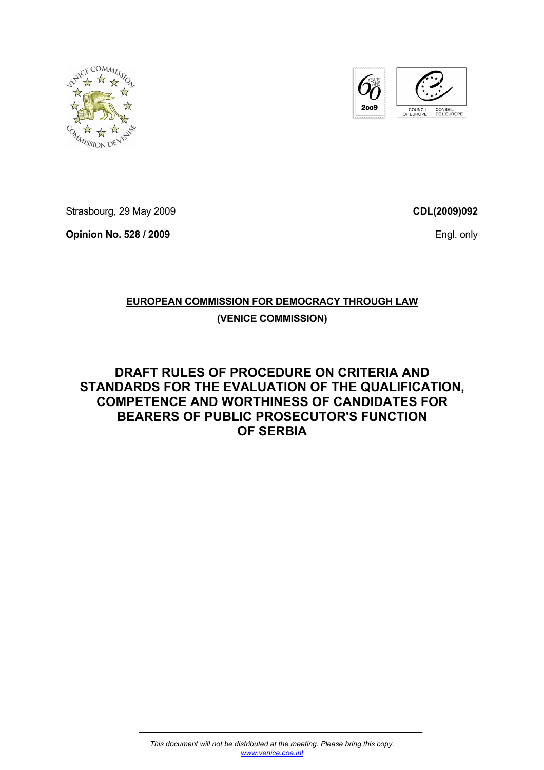



Strasbourg, 29 May 2009

**Opinion No. 528 / 2009** 

**CDL(2009)092**

Engl. only

# **EUROPEAN COMMISSION FOR DEMOCRACY THROUGH LAW**

# **(VENICE COMMISSION)**

**DRAFT RULES OF PROCEDURE ON CRITERIA AND STANDARDS FOR THE EVALUATION OF THE QUALIFICATION, COMPETENCE AND WORTHINESS OF CANDIDATES FOR BEARERS OF PUBLIC PROSECUTOR'S FUNCTION OF SERBIA**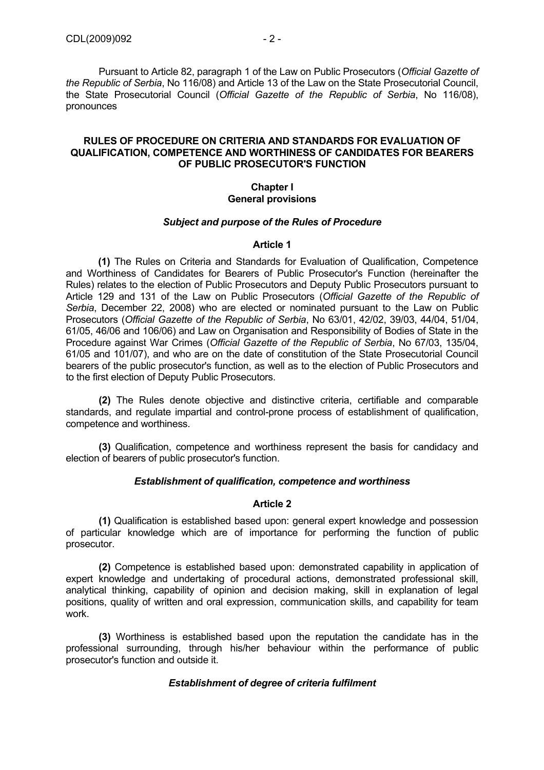Pursuant to Article 82, paragraph 1 of the Law on Public Prosecutors (*Official Gazette of the Republic of Serbia*, No 116/08) and Article 13 of the Law on the State Prosecutorial Council, the State Prosecutorial Council (*Official Gazette of the Republic of Serbia*, No 116/08), pronounces

## **RULES OF PROCEDURE ON CRITERIA AND STANDARDS FOR EVALUATION OF QUALIFICATION, COMPETENCE AND WORTHINESS OF CANDIDATES FOR BEARERS OF PUBLIC PROSECUTOR'S FUNCTION**

### **Chapter I General provisions**

#### *Subject and purpose of the Rules of Procedure*

#### **Article 1**

**(1)** The Rules on Criteria and Standards for Evaluation of Qualification, Competence and Worthiness of Candidates for Bearers of Public Prosecutor's Function (hereinafter the Rules) relates to the election of Public Prosecutors and Deputy Public Prosecutors pursuant to Article 129 and 131 of the Law on Public Prosecutors (*Official Gazette of the Republic of Serbia*, December 22, 2008) who are elected or nominated pursuant to the Law on Public Prosecutors (*Official Gazette of the Republic of Serbia*, No 63/01, 42/02, 39/03, 44/04, 51/04, 61/05, 46/06 and 106/06) and Law on Organisation and Responsibility of Bodies of State in the Procedure against War Crimes (*Official Gazette of the Republic of Serbia*, No 67/03, 135/04, 61/05 and 101/07), and who are on the date of constitution of the State Prosecutorial Council bearers of the public prosecutor's function, as well as to the election of Public Prosecutors and to the first election of Deputy Public Prosecutors.

**(2)** The Rules denote objective and distinctive criteria, certifiable and comparable standards, and regulate impartial and control-prone process of establishment of qualification, competence and worthiness.

**(3)** Qualification, competence and worthiness represent the basis for candidacy and election of bearers of public prosecutor's function.

#### *Establishment of qualification, competence and worthiness*

#### **Article 2**

**(1)** Qualification is established based upon: general expert knowledge and possession of particular knowledge which are of importance for performing the function of public prosecutor.

**(2)** Competence is established based upon: demonstrated capability in application of expert knowledge and undertaking of procedural actions, demonstrated professional skill, analytical thinking, capability of opinion and decision making, skill in explanation of legal positions, quality of written and oral expression, communication skills, and capability for team work.

**(3)** Worthiness is established based upon the reputation the candidate has in the professional surrounding, through his/her behaviour within the performance of public prosecutor's function and outside it.

#### *Establishment of degree of criteria fulfilment*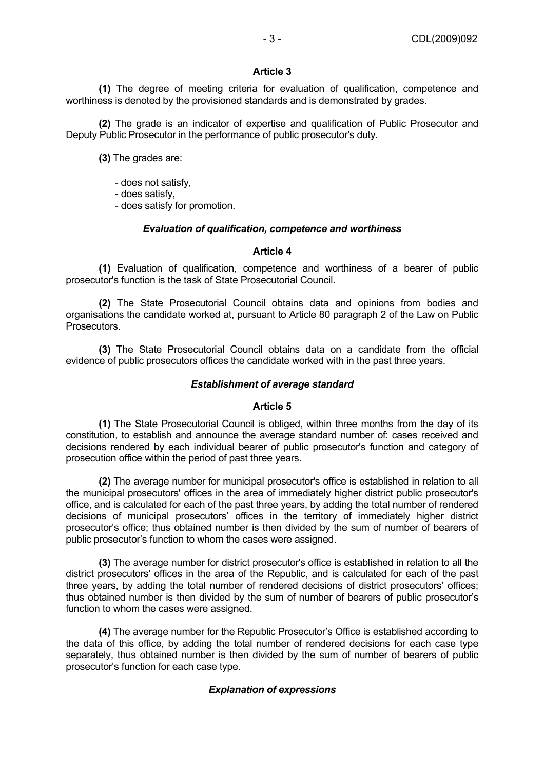#### **Article 3**

**(1)** The degree of meeting criteria for evaluation of qualification, competence and worthiness is denoted by the provisioned standards and is demonstrated by grades.

**(2)** The grade is an indicator of expertise and qualification of Public Prosecutor and Deputy Public Prosecutor in the performance of public prosecutor's duty.

**(3)** The grades are:

- does not satisfy,

- does satisfy,

- does satisfy for promotion.

#### *Evaluation of qualification, competence and worthiness*

#### **Article 4**

**(1)** Evaluation of qualification, competence and worthiness of a bearer of public prosecutor's function is the task of State Prosecutorial Council.

**(2)** The State Prosecutorial Council obtains data and opinions from bodies and organisations the candidate worked at, pursuant to Article 80 paragraph 2 of the Law on Public Prosecutors.

**(3)** The State Prosecutorial Council obtains data on a candidate from the official evidence of public prosecutors offices the candidate worked with in the past three years.

#### *Establishment of average standard*

#### **Article 5**

**(1)** The State Prosecutorial Council is obliged, within three months from the day of its constitution, to establish and announce the average standard number of: cases received and decisions rendered by each individual bearer of public prosecutor's function and category of prosecution office within the period of past three years.

**(2)** The average number for municipal prosecutor's office is established in relation to all the municipal prosecutors' offices in the area of immediately higher district public prosecutor's office, and is calculated for each of the past three years, by adding the total number of rendered decisions of municipal prosecutors' offices in the territory of immediately higher district prosecutor's office; thus obtained number is then divided by the sum of number of bearers of public prosecutor's function to whom the cases were assigned.

**(3)** The average number for district prosecutor's office is established in relation to all the district prosecutors' offices in the area of the Republic, and is calculated for each of the past three years, by adding the total number of rendered decisions of district prosecutors' offices; thus obtained number is then divided by the sum of number of bearers of public prosecutor's function to whom the cases were assigned.

**(4)** The average number for the Republic Prosecutor's Office is established according to the data of this office, by adding the total number of rendered decisions for each case type separately, thus obtained number is then divided by the sum of number of bearers of public prosecutor's function for each case type.

# *Explanation of expressions*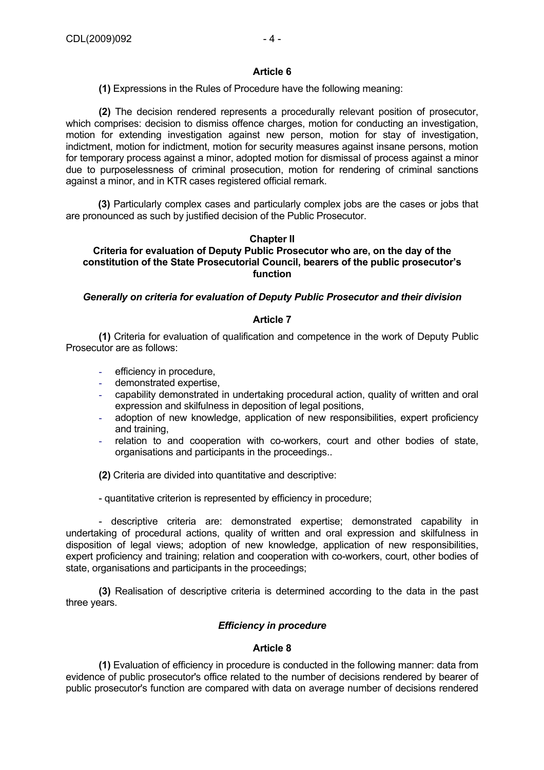# **Article 6**

**(1)** Expressions in the Rules of Procedure have the following meaning:

**(2)** The decision rendered represents a procedurally relevant position of prosecutor, which comprises: decision to dismiss offence charges, motion for conducting an investigation, motion for extending investigation against new person, motion for stay of investigation, indictment, motion for indictment, motion for security measures against insane persons, motion for temporary process against a minor, adopted motion for dismissal of process against a minor due to purposelessness of criminal prosecution, motion for rendering of criminal sanctions against a minor, and in KTR cases registered official remark.

**(3)** Particularly complex cases and particularly complex jobs are the cases or jobs that are pronounced as such by justified decision of the Public Prosecutor.

# **Chapter II**

# **Criteria for evaluation of Deputy Public Prosecutor who are, on the day of the constitution of the State Prosecutorial Council, bearers of the public prosecutor's function**

# *Generally on criteria for evaluation of Deputy Public Prosecutor and their division*

# **Article 7**

**(1)** Criteria for evaluation of qualification and competence in the work of Deputy Public Prosecutor are as follows:

- efficiency in procedure,
- demonstrated expertise,
- capability demonstrated in undertaking procedural action, quality of written and oral expression and skilfulness in deposition of legal positions,
- adoption of new knowledge, application of new responsibilities, expert proficiency and training,
- relation to and cooperation with co-workers, court and other bodies of state, organisations and participants in the proceedings..

**(2)** Criteria are divided into quantitative and descriptive:

- quantitative criterion is represented by efficiency in procedure;

- descriptive criteria are: demonstrated expertise; demonstrated capability in undertaking of procedural actions, quality of written and oral expression and skilfulness in disposition of legal views; adoption of new knowledge, application of new responsibilities, expert proficiency and training; relation and cooperation with co-workers, court, other bodies of state, organisations and participants in the proceedings;

**(3)** Realisation of descriptive criteria is determined according to the data in the past three years.

# *Efficiency in procedure*

# **Article 8**

**(1)** Evaluation of efficiency in procedure is conducted in the following manner: data from evidence of public prosecutor's office related to the number of decisions rendered by bearer of public prosecutor's function are compared with data on average number of decisions rendered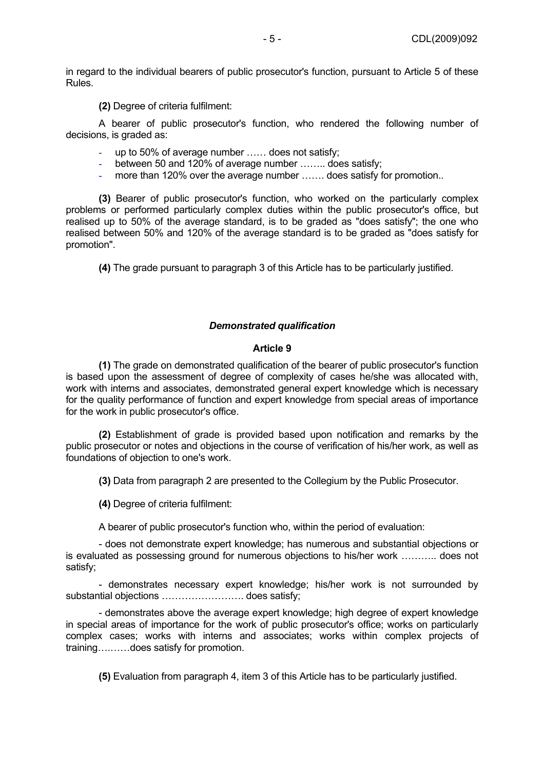in regard to the individual bearers of public prosecutor's function, pursuant to Article 5 of these Rules.

**(2)** Degree of criteria fulfilment:

A bearer of public prosecutor's function, who rendered the following number of decisions, is graded as:

- up to 50% of average number ...... does not satisfy;
- between 50 and 120% of average number ........ does satisfy;
- more than 120% over the average number ....... does satisfy for promotion..

**(3)** Bearer of public prosecutor's function, who worked on the particularly complex problems or performed particularly complex duties within the public prosecutor's office, but realised up to 50% of the average standard, is to be graded as "does satisfy"; the one who realised between 50% and 120% of the average standard is to be graded as "does satisfy for promotion".

**(4)** The grade pursuant to paragraph 3 of this Article has to be particularly justified.

### *Demonstrated qualification*

#### **Article 9**

**(1)** The grade on demonstrated qualification of the bearer of public prosecutor's function is based upon the assessment of degree of complexity of cases he/she was allocated with, work with interns and associates, demonstrated general expert knowledge which is necessary for the quality performance of function and expert knowledge from special areas of importance for the work in public prosecutor's office.

**(2)** Establishment of grade is provided based upon notification and remarks by the public prosecutor or notes and objections in the course of verification of his/her work, as well as foundations of objection to one's work.

**(3)** Data from paragraph 2 are presented to the Collegium by the Public Prosecutor.

**(4)** Degree of criteria fulfilment:

A bearer of public prosecutor's function who, within the period of evaluation:

- does not demonstrate expert knowledge; has numerous and substantial objections or is evaluated as possessing ground for numerous objections to his/her work ……….. does not satisfy;

- demonstrates necessary expert knowledge; his/her work is not surrounded by substantial objections ……………………. does satisfy;

- demonstrates above the average expert knowledge; high degree of expert knowledge in special areas of importance for the work of public prosecutor's office; works on particularly complex cases; works with interns and associates; works within complex projects of training….……does satisfy for promotion.

**(5)** Evaluation from paragraph 4, item 3 of this Article has to be particularly justified.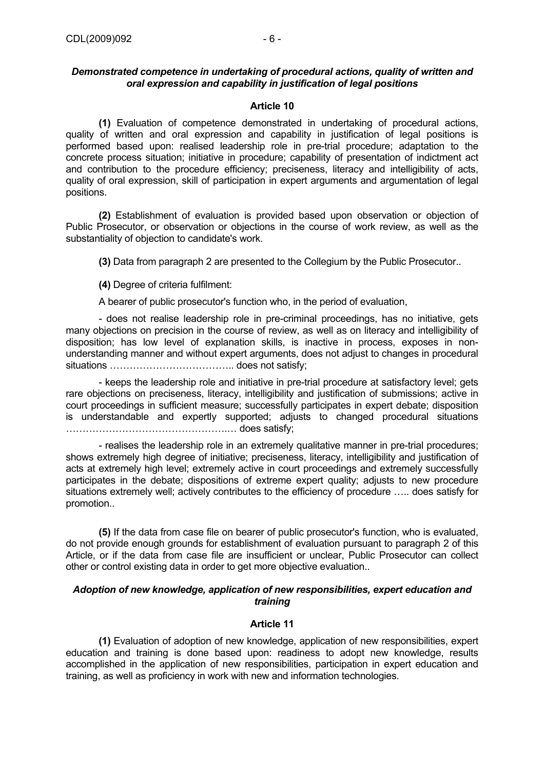# *Demonstrated competence in undertaking of procedural actions, quality of written and oral expression and capability in justification of legal positions*

# **Article 10**

**(1)** Evaluation of competence demonstrated in undertaking of procedural actions, quality of written and oral expression and capability in justification of legal positions is performed based upon: realised leadership role in pre-trial procedure; adaptation to the concrete process situation; initiative in procedure; capability of presentation of indictment act and contribution to the procedure efficiency; preciseness, literacy and intelligibility of acts, quality of oral expression, skill of participation in expert arguments and argumentation of legal positions.

**(2)** Establishment of evaluation is provided based upon observation or objection of Public Prosecutor, or observation or objections in the course of work review, as well as the substantiality of objection to candidate's work.

**(3)** Data from paragraph 2 are presented to the Collegium by the Public Prosecutor..

**(4)** Degree of criteria fulfilment:

A bearer of public prosecutor's function who, in the period of evaluation,

- does not realise leadership role in pre-criminal proceedings, has no initiative, gets many objections on precision in the course of review, as well as on literacy and intelligibility of disposition; has low level of explanation skills, is inactive in process, exposes in nonunderstanding manner and without expert arguments, does not adjust to changes in procedural situations ……………………………….. does not satisfy;

- keeps the leadership role and initiative in pre-trial procedure at satisfactory level; gets rare objections on preciseness, literacy, intelligibility and justification of submissions; active in court proceedings in sufficient measure; successfully participates in expert debate; disposition is understandable and expertly supported; adjusts to changed procedural situations ………………………………………….… does satisfy;

- realises the leadership role in an extremely qualitative manner in pre-trial procedures; shows extremely high degree of initiative; preciseness, literacy, intelligibility and justification of acts at extremely high level; extremely active in court proceedings and extremely successfully participates in the debate; dispositions of extreme expert quality; adjusts to new procedure situations extremely well; actively contributes to the efficiency of procedure ….. does satisfy for promotion..

**(5)** If the data from case file on bearer of public prosecutor's function, who is evaluated, do not provide enough grounds for establishment of evaluation pursuant to paragraph 2 of this Article, or if the data from case file are insufficient or unclear, Public Prosecutor can collect other or control existing data in order to get more objective evaluation..

# *Adoption of new knowledge, application of new responsibilities, expert education and training*

# **Article 11**

**(1)** Evaluation of adoption of new knowledge, application of new responsibilities, expert education and training is done based upon: readiness to adopt new knowledge, results accomplished in the application of new responsibilities, participation in expert education and training, as well as proficiency in work with new and information technologies.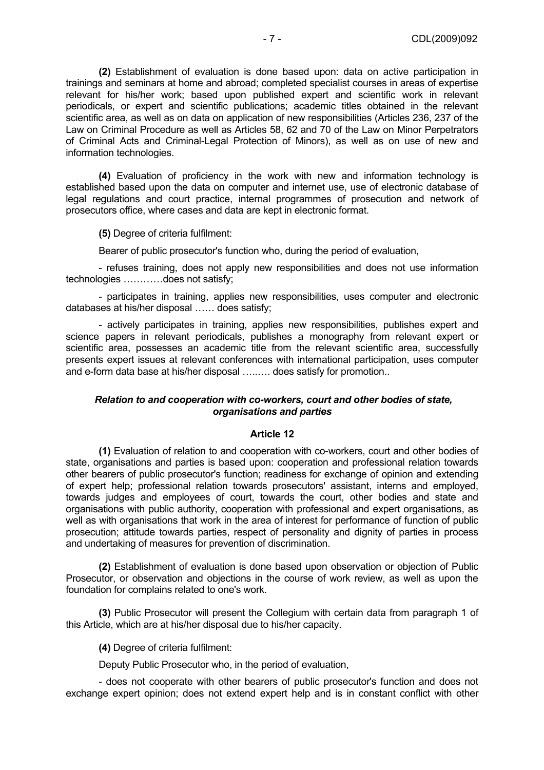**(2)** Establishment of evaluation is done based upon: data on active participation in trainings and seminars at home and abroad; completed specialist courses in areas of expertise relevant for his/her work; based upon published expert and scientific work in relevant periodicals, or expert and scientific publications; academic titles obtained in the relevant scientific area, as well as on data on application of new responsibilities (Articles 236, 237 of the Law on Criminal Procedure as well as Articles 58, 62 and 70 of the Law on Minor Perpetrators of Criminal Acts and Criminal-Legal Protection of Minors), as well as on use of new and information technologies.

**(4)** Evaluation of proficiency in the work with new and information technology is established based upon the data on computer and internet use, use of electronic database of legal regulations and court practice, internal programmes of prosecution and network of prosecutors office, where cases and data are kept in electronic format.

**(5)** Degree of criteria fulfilment:

Bearer of public prosecutor's function who, during the period of evaluation,

- refuses training, does not apply new responsibilities and does not use information technologies …………does not satisfy;

- participates in training, applies new responsibilities, uses computer and electronic databases at his/her disposal …… does satisfy;

- actively participates in training, applies new responsibilities, publishes expert and science papers in relevant periodicals, publishes a monography from relevant expert or scientific area, possesses an academic title from the relevant scientific area, successfully presents expert issues at relevant conferences with international participation, uses computer and e-form data base at his/her disposal …..…. does satisfy for promotion..

#### *Relation to and cooperation with co-workers, court and other bodies of state, organisations and parties*

#### **Article 12**

**(1)** Evaluation of relation to and cooperation with co-workers, court and other bodies of state, organisations and parties is based upon: cooperation and professional relation towards other bearers of public prosecutor's function; readiness for exchange of opinion and extending of expert help; professional relation towards prosecutors' assistant, interns and employed, towards judges and employees of court, towards the court, other bodies and state and organisations with public authority, cooperation with professional and expert organisations, as well as with organisations that work in the area of interest for performance of function of public prosecution; attitude towards parties, respect of personality and dignity of parties in process and undertaking of measures for prevention of discrimination.

**(2)** Establishment of evaluation is done based upon observation or objection of Public Prosecutor, or observation and objections in the course of work review, as well as upon the foundation for complains related to one's work.

**(3)** Public Prosecutor will present the Collegium with certain data from paragraph 1 of this Article, which are at his/her disposal due to his/her capacity.

**(4)** Degree of criteria fulfilment:

Deputy Public Prosecutor who, in the period of evaluation,

- does not cooperate with other bearers of public prosecutor's function and does not exchange expert opinion; does not extend expert help and is in constant conflict with other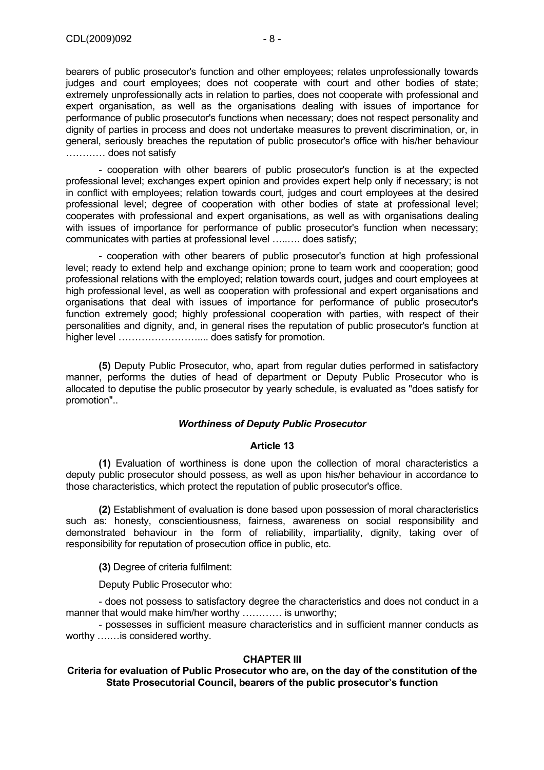bearers of public prosecutor's function and other employees; relates unprofessionally towards judges and court employees; does not cooperate with court and other bodies of state; extremely unprofessionally acts in relation to parties, does not cooperate with professional and expert organisation, as well as the organisations dealing with issues of importance for performance of public prosecutor's functions when necessary; does not respect personality and dignity of parties in process and does not undertake measures to prevent discrimination, or, in general, seriously breaches the reputation of public prosecutor's office with his/her behaviour ………… does not satisfy

- cooperation with other bearers of public prosecutor's function is at the expected professional level; exchanges expert opinion and provides expert help only if necessary; is not in conflict with employees; relation towards court, judges and court employees at the desired professional level; degree of cooperation with other bodies of state at professional level; cooperates with professional and expert organisations, as well as with organisations dealing with issues of importance for performance of public prosecutor's function when necessary; communicates with parties at professional level …..…. does satisfy;

- cooperation with other bearers of public prosecutor's function at high professional level; ready to extend help and exchange opinion; prone to team work and cooperation; good professional relations with the employed; relation towards court, judges and court employees at high professional level, as well as cooperation with professional and expert organisations and organisations that deal with issues of importance for performance of public prosecutor's function extremely good; highly professional cooperation with parties, with respect of their personalities and dignity, and, in general rises the reputation of public prosecutor's function at higher level …………………….... does satisfy for promotion.

**(5)** Deputy Public Prosecutor, who, apart from regular duties performed in satisfactory manner, performs the duties of head of department or Deputy Public Prosecutor who is allocated to deputise the public prosecutor by yearly schedule, is evaluated as "does satisfy for promotion"..

#### *Worthiness of Deputy Public Prosecutor*

#### **Article 13**

**(1)** Evaluation of worthiness is done upon the collection of moral characteristics a deputy public prosecutor should possess, as well as upon his/her behaviour in accordance to those characteristics, which protect the reputation of public prosecutor's office.

**(2)** Establishment of evaluation is done based upon possession of moral characteristics such as: honesty, conscientiousness, fairness, awareness on social responsibility and demonstrated behaviour in the form of reliability, impartiality, dignity, taking over of responsibility for reputation of prosecution office in public, etc.

**(3)** Degree of criteria fulfilment:

Deputy Public Prosecutor who:

- does not possess to satisfactory degree the characteristics and does not conduct in a manner that would make him/her worthy ............ is unworthy;

- possesses in sufficient measure characteristics and in sufficient manner conducts as worthy ….…is considered worthy.

#### **CHAPTER III**

#### **Criteria for evaluation of Public Prosecutor who are, on the day of the constitution of the State Prosecutorial Council, bearers of the public prosecutor's function**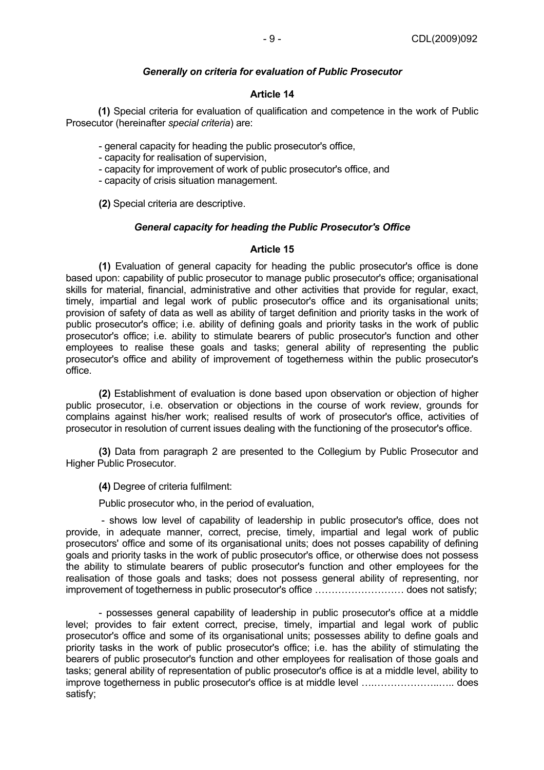# *Generally on criteria for evaluation of Public Prosecutor*

# **Article 14**

 **(1)** Special criteria for evaluation of qualification and competence in the work of Public Prosecutor (hereinafter *special criteria*) are:

- general capacity for heading the public prosecutor's office,

- capacity for realisation of supervision,
- capacity for improvement of work of public prosecutor's office, and
- capacity of crisis situation management.

**(2)** Special criteria are descriptive.

# *General capacity for heading the Public Prosecutor's Office*

# **Article 15**

**(1)** Evaluation of general capacity for heading the public prosecutor's office is done based upon: capability of public prosecutor to manage public prosecutor's office; organisational skills for material, financial, administrative and other activities that provide for regular, exact, timely, impartial and legal work of public prosecutor's office and its organisational units; provision of safety of data as well as ability of target definition and priority tasks in the work of public prosecutor's office; i.e. ability of defining goals and priority tasks in the work of public prosecutor's office; i.e. ability to stimulate bearers of public prosecutor's function and other employees to realise these goals and tasks; general ability of representing the public prosecutor's office and ability of improvement of togetherness within the public prosecutor's office.

**(2)** Establishment of evaluation is done based upon observation or objection of higher public prosecutor, i.e. observation or objections in the course of work review, grounds for complains against his/her work; realised results of work of prosecutor's office, activities of prosecutor in resolution of current issues dealing with the functioning of the prosecutor's office.

**(3)** Data from paragraph 2 are presented to the Collegium by Public Prosecutor and Higher Public Prosecutor.

**(4)** Degree of criteria fulfilment:

Public prosecutor who, in the period of evaluation,

 - shows low level of capability of leadership in public prosecutor's office, does not provide, in adequate manner, correct, precise, timely, impartial and legal work of public prosecutors' office and some of its organisational units; does not posses capability of defining goals and priority tasks in the work of public prosecutor's office, or otherwise does not possess the ability to stimulate bearers of public prosecutor's function and other employees for the realisation of those goals and tasks; does not possess general ability of representing, nor improvement of togetherness in public prosecutor's office ……………………… does not satisfy;

- possesses general capability of leadership in public prosecutor's office at a middle level; provides to fair extent correct, precise, timely, impartial and legal work of public prosecutor's office and some of its organisational units; possesses ability to define goals and priority tasks in the work of public prosecutor's office; i.e. has the ability of stimulating the bearers of public prosecutor's function and other employees for realisation of those goals and tasks; general ability of representation of public prosecutor's office is at a middle level, ability to improve togetherness in public prosecutor's office is at middle level ….………………..….. does satisfy;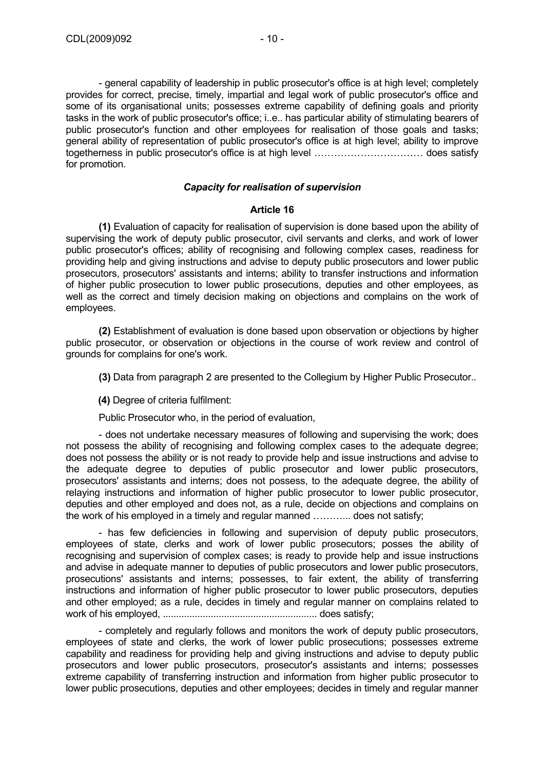- general capability of leadership in public prosecutor's office is at high level; completely provides for correct, precise, timely, impartial and legal work of public prosecutor's office and some of its organisational units; possesses extreme capability of defining goals and priority tasks in the work of public prosecutor's office; i..e.. has particular ability of stimulating bearers of public prosecutor's function and other employees for realisation of those goals and tasks; general ability of representation of public prosecutor's office is at high level; ability to improve togetherness in public prosecutor's office is at high level …………………………… does satisfy for promotion.

# *Capacity for realisation of supervision*

#### **Article 16**

**(1)** Evaluation of capacity for realisation of supervision is done based upon the ability of supervising the work of deputy public prosecutor, civil servants and clerks, and work of lower public prosecutor's offices; ability of recognising and following complex cases, readiness for providing help and giving instructions and advise to deputy public prosecutors and lower public prosecutors, prosecutors' assistants and interns; ability to transfer instructions and information of higher public prosecution to lower public prosecutions, deputies and other employees, as well as the correct and timely decision making on objections and complains on the work of employees.

**(2)** Establishment of evaluation is done based upon observation or objections by higher public prosecutor, or observation or objections in the course of work review and control of grounds for complains for one's work.

**(3)** Data from paragraph 2 are presented to the Collegium by Higher Public Prosecutor..

**(4)** Degree of criteria fulfilment:

Public Prosecutor who, in the period of evaluation,

- does not undertake necessary measures of following and supervising the work; does not possess the ability of recognising and following complex cases to the adequate degree; does not possess the ability or is not ready to provide help and issue instructions and advise to the adequate degree to deputies of public prosecutor and lower public prosecutors, prosecutors' assistants and interns; does not possess, to the adequate degree, the ability of relaying instructions and information of higher public prosecutor to lower public prosecutor, deputies and other employed and does not, as a rule, decide on objections and complains on the work of his employed in a timely and regular manned ………... does not satisfy;

- has few deficiencies in following and supervision of deputy public prosecutors, employees of state, clerks and work of lower public prosecutors; posses the ability of recognising and supervision of complex cases; is ready to provide help and issue instructions and advise in adequate manner to deputies of public prosecutors and lower public prosecutors, prosecutions' assistants and interns; possesses, to fair extent, the ability of transferring instructions and information of higher public prosecutor to lower public prosecutors, deputies and other employed; as a rule, decides in timely and regular manner on complains related to work of his employed, .......................................................... does satisfy;

- completely and regularly follows and monitors the work of deputy public prosecutors, employees of state and clerks, the work of lower public prosecutions; possesses extreme capability and readiness for providing help and giving instructions and advise to deputy public prosecutors and lower public prosecutors, prosecutor's assistants and interns; possesses extreme capability of transferring instruction and information from higher public prosecutor to lower public prosecutions, deputies and other employees; decides in timely and regular manner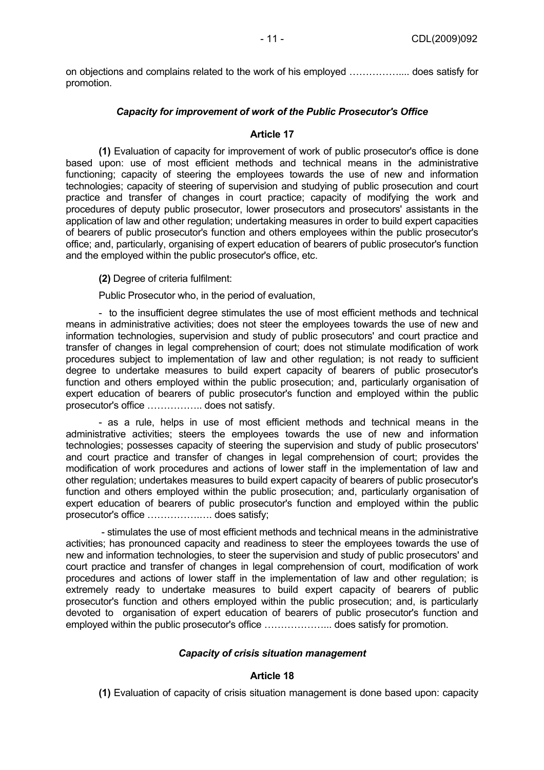on objections and complains related to the work of his employed …………….... does satisfy for promotion.

# *Capacity for improvement of work of the Public Prosecutor's Office*

#### **Article 17**

**(1)** Evaluation of capacity for improvement of work of public prosecutor's office is done based upon: use of most efficient methods and technical means in the administrative functioning; capacity of steering the employees towards the use of new and information technologies; capacity of steering of supervision and studying of public prosecution and court practice and transfer of changes in court practice; capacity of modifying the work and procedures of deputy public prosecutor, lower prosecutors and prosecutors' assistants in the application of law and other regulation; undertaking measures in order to build expert capacities of bearers of public prosecutor's function and others employees within the public prosecutor's office; and, particularly, organising of expert education of bearers of public prosecutor's function and the employed within the public prosecutor's office, etc.

**(2)** Degree of criteria fulfilment:

Public Prosecutor who, in the period of evaluation,

- to the insufficient degree stimulates the use of most efficient methods and technical means in administrative activities; does not steer the employees towards the use of new and information technologies, supervision and study of public prosecutors' and court practice and transfer of changes in legal comprehension of court; does not stimulate modification of work procedures subject to implementation of law and other regulation; is not ready to sufficient degree to undertake measures to build expert capacity of bearers of public prosecutor's function and others employed within the public prosecution; and, particularly organisation of expert education of bearers of public prosecutor's function and employed within the public prosecutor's office …………….. does not satisfy.

- as a rule, helps in use of most efficient methods and technical means in the administrative activities; steers the employees towards the use of new and information technologies; possesses capacity of steering the supervision and study of public prosecutors' and court practice and transfer of changes in legal comprehension of court; provides the modification of work procedures and actions of lower staff in the implementation of law and other regulation; undertakes measures to build expert capacity of bearers of public prosecutor's function and others employed within the public prosecution; and, particularly organisation of expert education of bearers of public prosecutor's function and employed within the public prosecutor's office …………….…. does satisfy;

 - stimulates the use of most efficient methods and technical means in the administrative activities; has pronounced capacity and readiness to steer the employees towards the use of new and information technologies, to steer the supervision and study of public prosecutors' and court practice and transfer of changes in legal comprehension of court, modification of work procedures and actions of lower staff in the implementation of law and other regulation; is extremely ready to undertake measures to build expert capacity of bearers of public prosecutor's function and others employed within the public prosecution; and, is particularly devoted to organisation of expert education of bearers of public prosecutor's function and employed within the public prosecutor's office ………………... does satisfy for promotion.

# *Capacity of crisis situation management*

#### **Article 18**

**(1)** Evaluation of capacity of crisis situation management is done based upon: capacity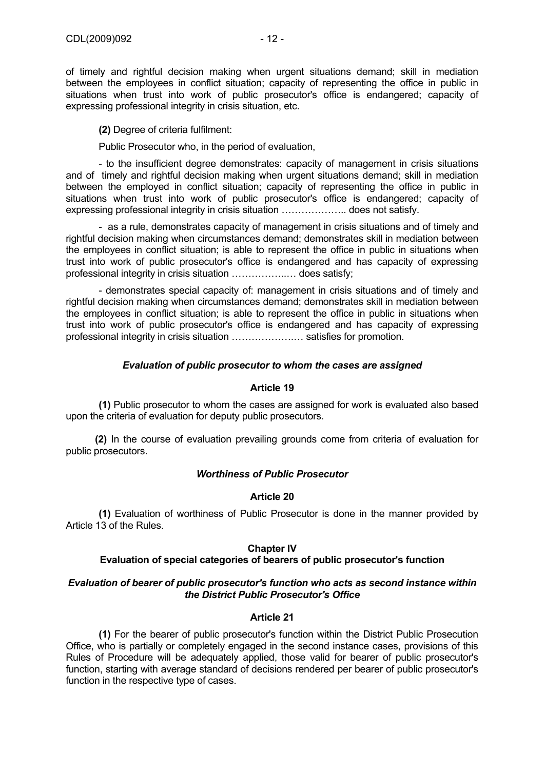of timely and rightful decision making when urgent situations demand; skill in mediation between the employees in conflict situation; capacity of representing the office in public in situations when trust into work of public prosecutor's office is endangered; capacity of expressing professional integrity in crisis situation, etc.

**(2)** Degree of criteria fulfilment:

Public Prosecutor who, in the period of evaluation,

- to the insufficient degree demonstrates: capacity of management in crisis situations and of timely and rightful decision making when urgent situations demand; skill in mediation between the employed in conflict situation; capacity of representing the office in public in situations when trust into work of public prosecutor's office is endangered; capacity of expressing professional integrity in crisis situation ……………….. does not satisfy.

- as a rule, demonstrates capacity of management in crisis situations and of timely and rightful decision making when circumstances demand; demonstrates skill in mediation between the employees in conflict situation; is able to represent the office in public in situations when trust into work of public prosecutor's office is endangered and has capacity of expressing professional integrity in crisis situation ……………..… does satisfy;

- demonstrates special capacity of: management in crisis situations and of timely and rightful decision making when circumstances demand; demonstrates skill in mediation between the employees in conflict situation; is able to represent the office in public in situations when trust into work of public prosecutor's office is endangered and has capacity of expressing professional integrity in crisis situation ……………….… satisfies for promotion.

# *Evaluation of public prosecutor to whom the cases are assigned*

### **Article 19**

**(1)** Public prosecutor to whom the cases are assigned for work is evaluated also based upon the criteria of evaluation for deputy public prosecutors.

 **(2)** In the course of evaluation prevailing grounds come from criteria of evaluation for public prosecutors.

#### *Worthiness of Public Prosecutor*

#### **Article 20**

**(1)** Evaluation of worthiness of Public Prosecutor is done in the manner provided by Article 13 of the Rules.

# **Chapter IV**

#### **Evaluation of special categories of bearers of public prosecutor's function**

# *Evaluation of bearer of public prosecutor's function who acts as second instance within the District Public Prosecutor's Office*

# **Article 21**

**(1)** For the bearer of public prosecutor's function within the District Public Prosecution Office, who is partially or completely engaged in the second instance cases, provisions of this Rules of Procedure will be adequately applied, those valid for bearer of public prosecutor's function, starting with average standard of decisions rendered per bearer of public prosecutor's function in the respective type of cases.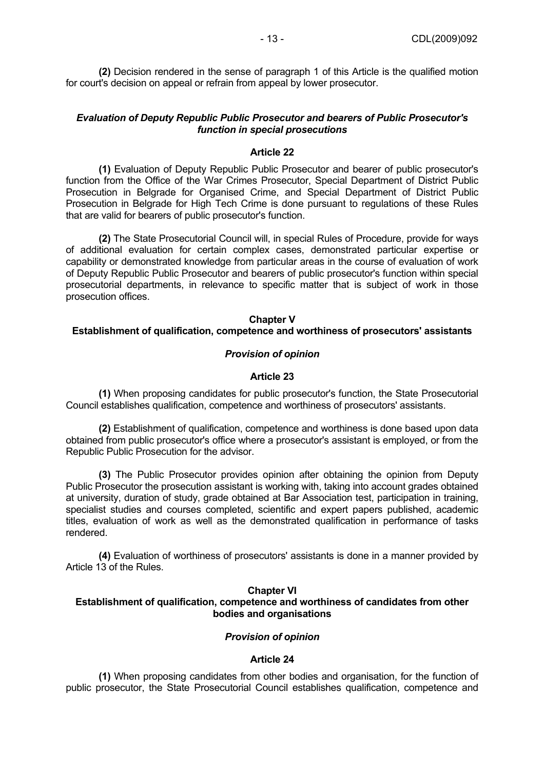**(2)** Decision rendered in the sense of paragraph 1 of this Article is the qualified motion for court's decision on appeal or refrain from appeal by lower prosecutor.

# *Evaluation of Deputy Republic Public Prosecutor and bearers of Public Prosecutor's function in special prosecutions*

#### **Article 22**

**(1)** Evaluation of Deputy Republic Public Prosecutor and bearer of public prosecutor's function from the Office of the War Crimes Prosecutor, Special Department of District Public Prosecution in Belgrade for Organised Crime, and Special Department of District Public Prosecution in Belgrade for High Tech Crime is done pursuant to regulations of these Rules that are valid for bearers of public prosecutor's function.

**(2)** The State Prosecutorial Council will, in special Rules of Procedure, provide for ways of additional evaluation for certain complex cases, demonstrated particular expertise or capability or demonstrated knowledge from particular areas in the course of evaluation of work of Deputy Republic Public Prosecutor and bearers of public prosecutor's function within special prosecutorial departments, in relevance to specific matter that is subject of work in those prosecution offices.

#### **Chapter V**

# **Establishment of qualification, competence and worthiness of prosecutors' assistants**

# *Provision of opinion*

# **Article 23**

**(1)** When proposing candidates for public prosecutor's function, the State Prosecutorial Council establishes qualification, competence and worthiness of prosecutors' assistants.

**(2)** Establishment of qualification, competence and worthiness is done based upon data obtained from public prosecutor's office where a prosecutor's assistant is employed, or from the Republic Public Prosecution for the advisor.

**(3)** The Public Prosecutor provides opinion after obtaining the opinion from Deputy Public Prosecutor the prosecution assistant is working with, taking into account grades obtained at university, duration of study, grade obtained at Bar Association test, participation in training, specialist studies and courses completed, scientific and expert papers published, academic titles, evaluation of work as well as the demonstrated qualification in performance of tasks rendered.

**(4)** Evaluation of worthiness of prosecutors' assistants is done in a manner provided by Article 13 of the Rules.

# **Chapter VI**

# **Establishment of qualification, competence and worthiness of candidates from other bodies and organisations**

# *Provision of opinion*

#### **Article 24**

**(1)** When proposing candidates from other bodies and organisation, for the function of public prosecutor, the State Prosecutorial Council establishes qualification, competence and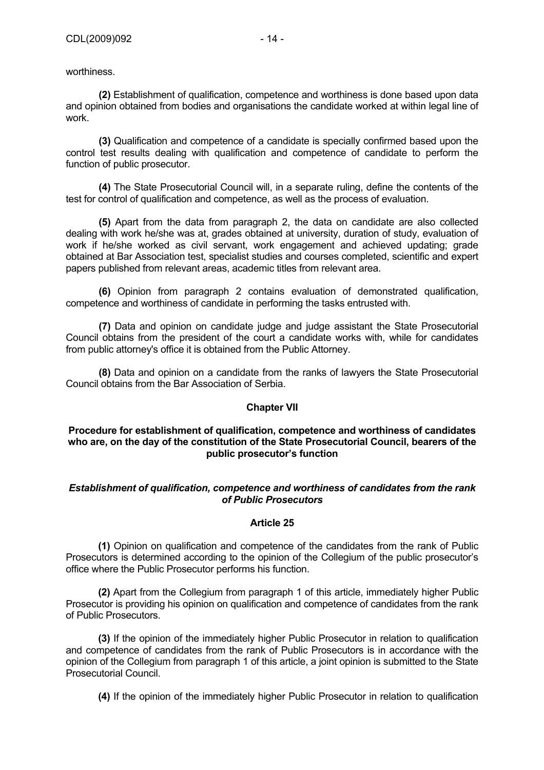worthiness.

**(2)** Establishment of qualification, competence and worthiness is done based upon data and opinion obtained from bodies and organisations the candidate worked at within legal line of work.

**(3)** Qualification and competence of a candidate is specially confirmed based upon the control test results dealing with qualification and competence of candidate to perform the function of public prosecutor.

**(4)** The State Prosecutorial Council will, in a separate ruling, define the contents of the test for control of qualification and competence, as well as the process of evaluation.

**(5)** Apart from the data from paragraph 2, the data on candidate are also collected dealing with work he/she was at, grades obtained at university, duration of study, evaluation of work if he/she worked as civil servant, work engagement and achieved updating; grade obtained at Bar Association test, specialist studies and courses completed, scientific and expert papers published from relevant areas, academic titles from relevant area.

**(6)** Opinion from paragraph 2 contains evaluation of demonstrated qualification, competence and worthiness of candidate in performing the tasks entrusted with.

**(7)** Data and opinion on candidate judge and judge assistant the State Prosecutorial Council obtains from the president of the court a candidate works with, while for candidates from public attorney's office it is obtained from the Public Attorney.

**(8)** Data and opinion on a candidate from the ranks of lawyers the State Prosecutorial Council obtains from the Bar Association of Serbia.

#### **Chapter VII**

#### **Procedure for establishment of qualification, competence and worthiness of candidates who are, on the day of the constitution of the State Prosecutorial Council, bearers of the public prosecutor's function**

# *Establishment of qualification, competence and worthiness of candidates from the rank of Public Prosecutors*

#### **Article 25**

 **(1)** Opinion on qualification and competence of the candidates from the rank of Public Prosecutors is determined according to the opinion of the Collegium of the public prosecutor's office where the Public Prosecutor performs his function.

**(2)** Apart from the Collegium from paragraph 1 of this article, immediately higher Public Prosecutor is providing his opinion on qualification and competence of candidates from the rank of Public Prosecutors.

**(3)** If the opinion of the immediately higher Public Prosecutor in relation to qualification and competence of candidates from the rank of Public Prosecutors is in accordance with the opinion of the Collegium from paragraph 1 of this article, a joint opinion is submitted to the State Prosecutorial Council.

**(4)** If the opinion of the immediately higher Public Prosecutor in relation to qualification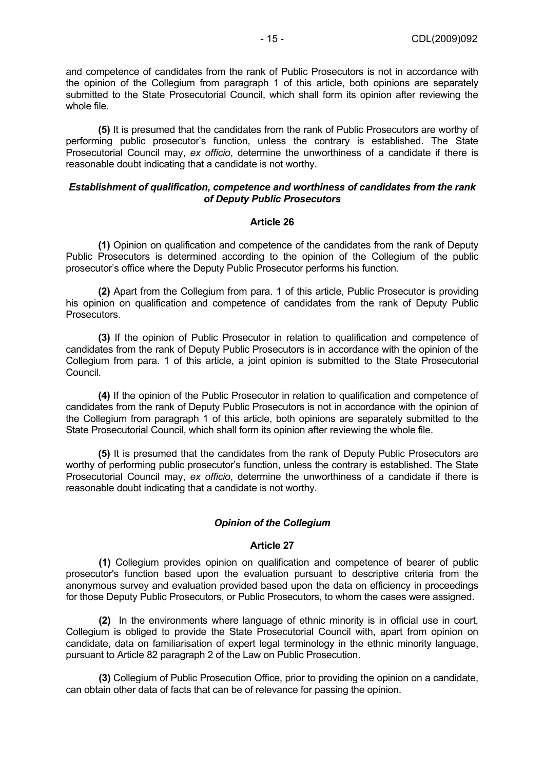and competence of candidates from the rank of Public Prosecutors is not in accordance with the opinion of the Collegium from paragraph 1 of this article, both opinions are separately submitted to the State Prosecutorial Council, which shall form its opinion after reviewing the whole file.

**(5)** It is presumed that the candidates from the rank of Public Prosecutors are worthy of performing public prosecutor's function, unless the contrary is established. The State Prosecutorial Council may, *ex officio*, determine the unworthiness of a candidate if there is reasonable doubt indicating that a candidate is not worthy.

#### *Establishment of qualification, competence and worthiness of candidates from the rank of Deputy Public Prosecutors*

#### **Article 26**

 **(1)** Opinion on qualification and competence of the candidates from the rank of Deputy Public Prosecutors is determined according to the opinion of the Collegium of the public prosecutor's office where the Deputy Public Prosecutor performs his function.

**(2)** Apart from the Collegium from para. 1 of this article, Public Prosecutor is providing his opinion on qualification and competence of candidates from the rank of Deputy Public Prosecutors.

**(3)** If the opinion of Public Prosecutor in relation to qualification and competence of candidates from the rank of Deputy Public Prosecutors is in accordance with the opinion of the Collegium from para. 1 of this article, a joint opinion is submitted to the State Prosecutorial Council.

**(4)** If the opinion of the Public Prosecutor in relation to qualification and competence of candidates from the rank of Deputy Public Prosecutors is not in accordance with the opinion of the Collegium from paragraph 1 of this article, both opinions are separately submitted to the State Prosecutorial Council, which shall form its opinion after reviewing the whole file.

**(5)** It is presumed that the candidates from the rank of Deputy Public Prosecutors are worthy of performing public prosecutor's function, unless the contrary is established. The State Prosecutorial Council may, *ex officio*, determine the unworthiness of a candidate if there is reasonable doubt indicating that a candidate is not worthy.

#### *Opinion of the Collegium*

# **Article 27**

**(1)** Collegium provides opinion on qualification and competence of bearer of public prosecutor's function based upon the evaluation pursuant to descriptive criteria from the anonymous survey and evaluation provided based upon the data on efficiency in proceedings for those Deputy Public Prosecutors, or Public Prosecutors, to whom the cases were assigned.

**(2)** In the environments where language of ethnic minority is in official use in court, Collegium is obliged to provide the State Prosecutorial Council with, apart from opinion on candidate, data on familiarisation of expert legal terminology in the ethnic minority language, pursuant to Article 82 paragraph 2 of the Law on Public Prosecution.

**(3)** Collegium of Public Prosecution Office, prior to providing the opinion on a candidate, can obtain other data of facts that can be of relevance for passing the opinion.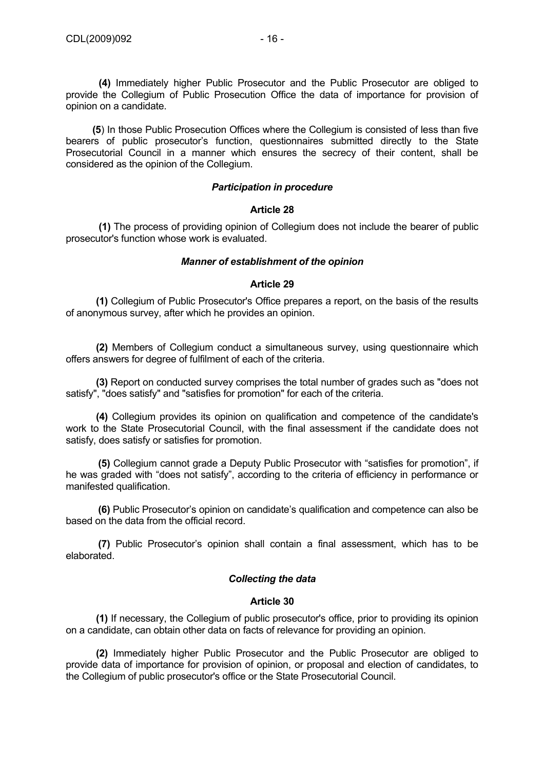**(4)** Immediately higher Public Prosecutor and the Public Prosecutor are obliged to provide the Collegium of Public Prosecution Office the data of importance for provision of opinion on a candidate.

 **(5**) In those Public Prosecution Offices where the Collegium is consisted of less than five bearers of public prosecutor's function, questionnaires submitted directly to the State Prosecutorial Council in a manner which ensures the secrecy of their content, shall be considered as the opinion of the Collegium.

### *Participation in procedure*

# **Article 28**

**(1)** The process of providing opinion of Collegium does not include the bearer of public prosecutor's function whose work is evaluated.

# *Manner of establishment of the opinion*

#### **Article 29**

**(1)** Collegium of Public Prosecutor's Office prepares a report, on the basis of the results of anonymous survey, after which he provides an opinion.

**(2)** Members of Collegium conduct a simultaneous survey, using questionnaire which offers answers for degree of fulfilment of each of the criteria.

**(3)** Report on conducted survey comprises the total number of grades such as "does not satisfy", "does satisfy" and "satisfies for promotion" for each of the criteria.

**(4)** Collegium provides its opinion on qualification and competence of the candidate's work to the State Prosecutorial Council, with the final assessment if the candidate does not satisfy, does satisfy or satisfies for promotion.

**(5)** Collegium cannot grade a Deputy Public Prosecutor with "satisfies for promotion", if he was graded with "does not satisfy", according to the criteria of efficiency in performance or manifested qualification.

**(6)** Public Prosecutor's opinion on candidate's qualification and competence can also be based on the data from the official record.

 **(7)** Public Prosecutor's opinion shall contain a final assessment, which has to be elaborated.

# *Collecting the data*

#### **Article 30**

**(1)** If necessary, the Collegium of public prosecutor's office, prior to providing its opinion on a candidate, can obtain other data on facts of relevance for providing an opinion.

**(2)** Immediately higher Public Prosecutor and the Public Prosecutor are obliged to provide data of importance for provision of opinion, or proposal and election of candidates, to the Collegium of public prosecutor's office or the State Prosecutorial Council.